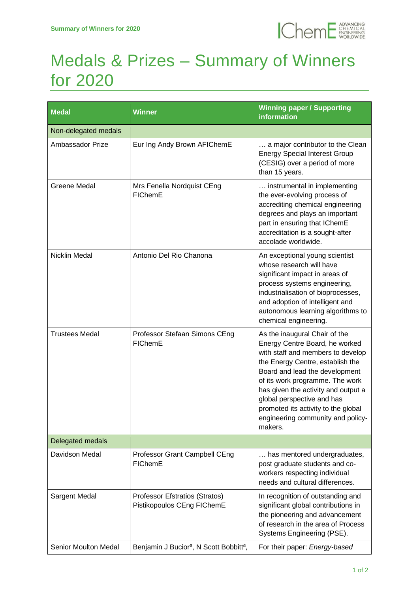

## Medals & Prizes – Summary of Winners for 2020

| <b>Medal</b>          | Winner                                                          | <b>Winning paper / Supporting</b><br><b>information</b>                                                                                                                                                                                                                                                                                                                   |
|-----------------------|-----------------------------------------------------------------|---------------------------------------------------------------------------------------------------------------------------------------------------------------------------------------------------------------------------------------------------------------------------------------------------------------------------------------------------------------------------|
| Non-delegated medals  |                                                                 |                                                                                                                                                                                                                                                                                                                                                                           |
| Ambassador Prize      | Eur Ing Andy Brown AFIChemE                                     | a major contributor to the Clean<br><b>Energy Special Interest Group</b><br>(CESIG) over a period of more<br>than 15 years.                                                                                                                                                                                                                                               |
| Greene Medal          | Mrs Fenella Nordquist CEng<br>FIChemE                           | instrumental in implementing<br>the ever-evolving process of<br>accrediting chemical engineering<br>degrees and plays an important<br>part in ensuring that IChemE<br>accreditation is a sought-after<br>accolade worldwide.                                                                                                                                              |
| <b>Nicklin Medal</b>  | Antonio Del Rio Chanona                                         | An exceptional young scientist<br>whose research will have<br>significant impact in areas of<br>process systems engineering,<br>industrialisation of bioprocesses,<br>and adoption of intelligent and<br>autonomous learning algorithms to<br>chemical engineering.                                                                                                       |
| <b>Trustees Medal</b> | Professor Stefaan Simons CEng<br>FIChemE                        | As the inaugural Chair of the<br>Energy Centre Board, he worked<br>with staff and members to develop<br>the Energy Centre, establish the<br>Board and lead the development<br>of its work programme. The work<br>has given the activity and output a<br>global perspective and has<br>promoted its activity to the global<br>engineering community and policy-<br>makers. |
| Delegated medals      |                                                                 |                                                                                                                                                                                                                                                                                                                                                                           |
| Davidson Medal        | Professor Grant Campbell CEng<br>FIChemE                        | has mentored undergraduates,<br>post graduate students and co-<br>workers respecting individual<br>needs and cultural differences.                                                                                                                                                                                                                                        |
| Sargent Medal         | Professor Efstratios (Stratos)<br>Pistikopoulos CEng FIChemE    | In recognition of outstanding and<br>significant global contributions in<br>the pioneering and advancement<br>of research in the area of Process<br>Systems Engineering (PSE).                                                                                                                                                                                            |
| Senior Moulton Medal  | Benjamin J Bucior <sup>a</sup> , N Scott Bobbitt <sup>a</sup> , | For their paper: Energy-based                                                                                                                                                                                                                                                                                                                                             |